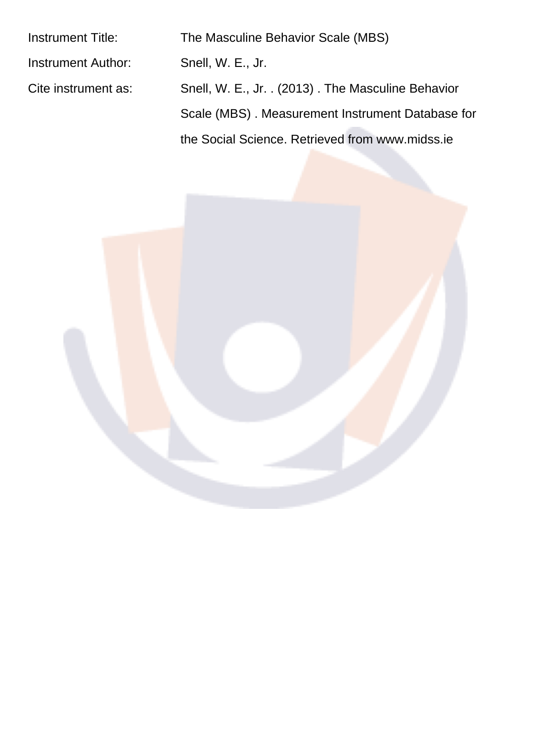| The Masculine Behavior Scale (MBS)                 |
|----------------------------------------------------|
| Snell, W. E., Jr.                                  |
| Snell, W. E., Jr. . (2013). The Masculine Behavior |
| Scale (MBS). Measurement Instrument Database for   |
| the Social Science. Retrieved from www.midss.ie    |
|                                                    |

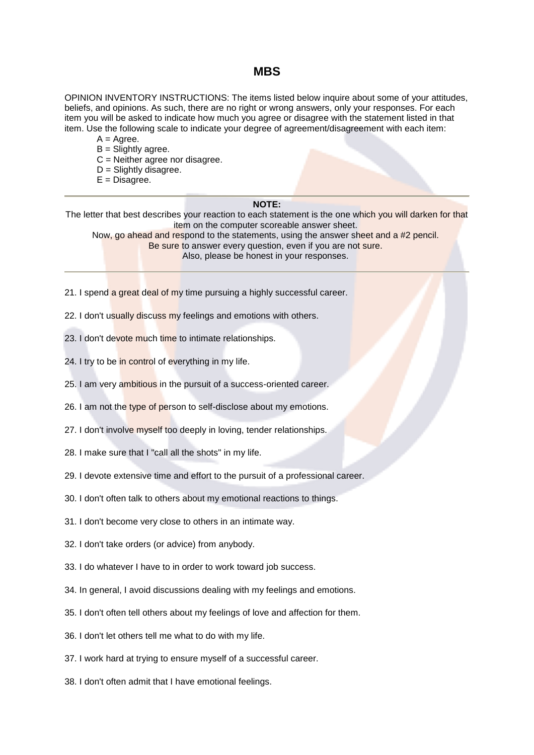#### **MBS**

OPINION INVENTORY INSTRUCTIONS: The items listed below inquire about some of your attitudes, beliefs, and opinions. As such, there are no right or wrong answers, only your responses. For each item you will be asked to indicate how much you agree or disagree with the statement listed in that item. Use the following scale to indicate your degree of agreement/disagreement with each item:

- $A = A$ gree.
- $B =$  Slightly agree.
- $C =$  Neither agree nor disagree.
- $D =$  Slightly disagree.
- $E = Disagree.$

#### NOTF-

The letter that best describes your reaction to each statement is the one which you will darken for that item on the computer scoreable answer sheet. Now, go ahead and respond to the statements, using the answer sheet and a #2 pencil. Be sure to answer every question, even if you are not sure.

Also, please be honest in your responses.

- 21. I spend a great deal of my time pursuing a highly successful career.
- 22. I don't usually discuss my feelings and emotions with others.
- 23. I don't devote much time to intimate relationships.
- 24. I try to be in control of everything in my life.
- 25. I am very ambitious in the pursuit of a success-oriented career.
- 26. I am not the type of person to self-disclose about my emotions.
- 27. I don't involve myself too deeply in loving, tender relationships.
- 28. I make sure that I "call all the shots" in my life.
- 29. I devote extensive time and effort to the pursuit of a professional career.
- 30. I don't often talk to others about my emotional reactions to things.
- 31. I don't become very close to others in an intimate way.
- 32. I don't take orders (or advice) from anybody.
- 33. I do whatever I have to in order to work toward job success.
- 34. In general, I avoid discussions dealing with my feelings and emotions.
- 35. I don't often tell others about my feelings of love and affection for them.
- 36. I don't let others tell me what to do with my life.
- 37. I work hard at trying to ensure myself of a successful career.
- 38. I don't often admit that I have emotional feelings.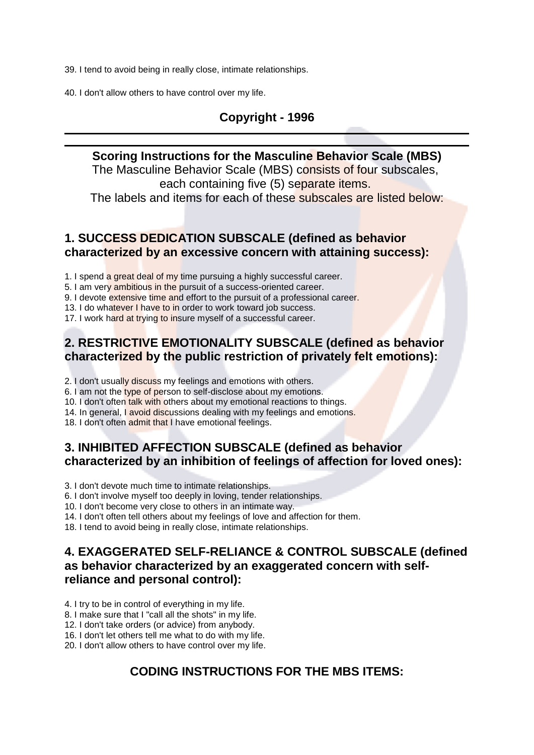39. I tend to avoid being in really close, intimate relationships.

40. I don't allow others to have control over my life.

## Copyright - 1996

#### Scoring Instructions for the Masculine Behavior Scale (MBS)

The Masculine Behavior Scale (MBS) consists of four subscales, each containing five (5) separate items.

The labels and items for each of these subscales are listed below:

### 1. SUCCESS DEDICATION SUBSCALE (defined as behavior characterized by an excessive concern with attaining success):

1. I spend a great deal of my time pursuing a highly successful career.

5. I am very ambitious in the pursuit of a success-oriented career.

9. I devote extensive time and effort to the pursuit of a professional career.

13. I do whatever I have to in order to work toward job success.

17. I work hard at trying to insure myself of a successful career.

# 2. RESTRICTIVE EMOTIONALITY SUBSCALE (defined as behavior characterized by the public restriction of privately felt emotions):

2. I don't usually discuss my feelings and emotions with others.

6. I am not the type of person to self-disclose about my emotions.

10. I don't often talk with others about my emotional reactions to things.

14. In general, I avoid discussions dealing with my feelings and emotions.

18. I don't often admit that I have emotional feelings.

#### 3. INHIBITED AFFECTION SUBSCALE (defined as behavior characterized by an inhibition of feelings of affection for loved ones):

3. I don't devote much time to intimate relationships.

6. I don't involve myself too deeply in loving, tender relationships.

10. I don't become very close to others in an intimate way.

14. I don't often tell others about my feelings of love and affection for them.

18. I tend to avoid being in really close, intimate relationships.

### 4. EXAGGERATED SELF-RELIANCE & CONTROL SUBSCALE (defined as behavior characterized by an exaggerated concern with selfreliance and personal control):

4. I try to be in control of everything in my life.

8. I make sure that I "call all the shots" in my life.

12. I don't take orders (or advice) from anybody.

16. I don't let others tell me what to do with my life.

20. I don't allow others to have control over my life.

# **CODING INSTRUCTIONS FOR THE MBS ITEMS:**